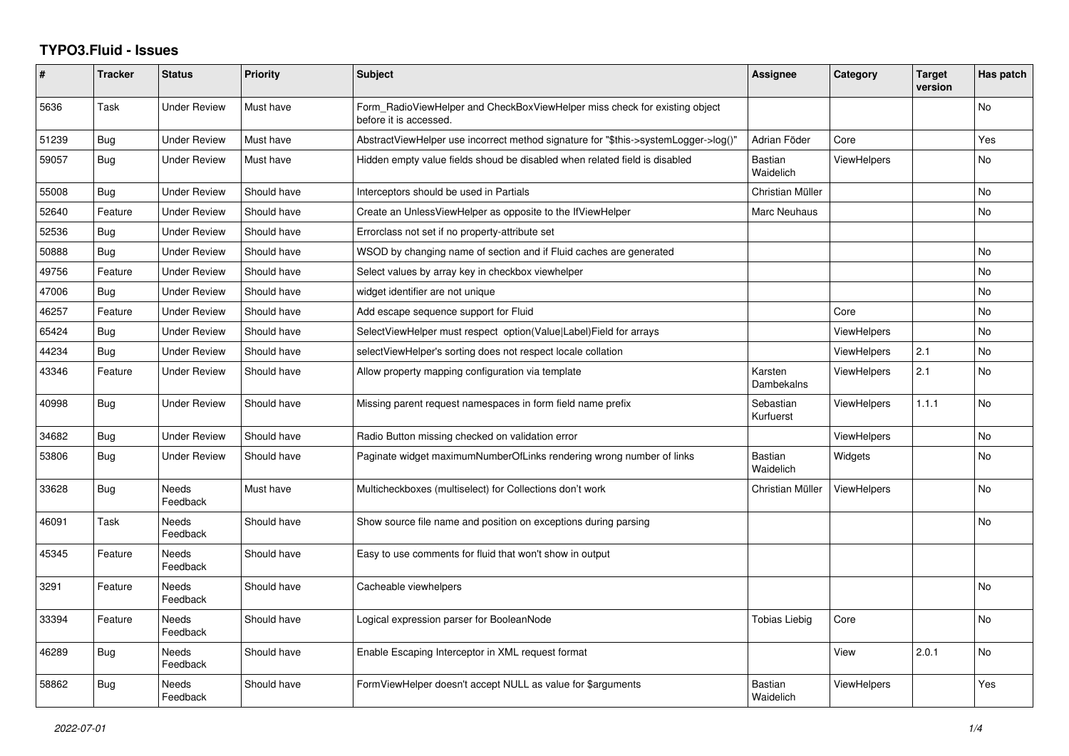## **TYPO3.Fluid - Issues**

| $\#$  | <b>Tracker</b> | <b>Status</b>            | <b>Priority</b> | <b>Subject</b>                                                                                       | Assignee                    | Category           | <b>Target</b><br>version | Has patch |
|-------|----------------|--------------------------|-----------------|------------------------------------------------------------------------------------------------------|-----------------------------|--------------------|--------------------------|-----------|
| 5636  | Task           | <b>Under Review</b>      | Must have       | Form RadioViewHelper and CheckBoxViewHelper miss check for existing object<br>before it is accessed. |                             |                    |                          | No        |
| 51239 | <b>Bug</b>     | <b>Under Review</b>      | Must have       | AbstractViewHelper use incorrect method signature for "\$this->systemLogger->log()"                  | Adrian Föder                | Core               |                          | Yes       |
| 59057 | Bug            | <b>Under Review</b>      | Must have       | Hidden empty value fields shoud be disabled when related field is disabled                           | <b>Bastian</b><br>Waidelich | <b>ViewHelpers</b> |                          | <b>No</b> |
| 55008 | <b>Bug</b>     | <b>Under Review</b>      | Should have     | Interceptors should be used in Partials                                                              | Christian Müller            |                    |                          | No        |
| 52640 | Feature        | <b>Under Review</b>      | Should have     | Create an UnlessViewHelper as opposite to the IfViewHelper                                           | Marc Neuhaus                |                    |                          | No        |
| 52536 | <b>Bug</b>     | <b>Under Review</b>      | Should have     | Errorclass not set if no property-attribute set                                                      |                             |                    |                          |           |
| 50888 | Bug            | <b>Under Review</b>      | Should have     | WSOD by changing name of section and if Fluid caches are generated                                   |                             |                    |                          | No        |
| 49756 | Feature        | <b>Under Review</b>      | Should have     | Select values by array key in checkbox viewhelper                                                    |                             |                    |                          | <b>No</b> |
| 47006 | Bug            | <b>Under Review</b>      | Should have     | widget identifier are not unique                                                                     |                             |                    |                          | <b>No</b> |
| 46257 | Feature        | <b>Under Review</b>      | Should have     | Add escape sequence support for Fluid                                                                |                             | Core               |                          | No        |
| 65424 | Bug            | <b>Under Review</b>      | Should have     | SelectViewHelper must respect option(Value Label)Field for arrays                                    |                             | ViewHelpers        |                          | No        |
| 44234 | <b>Bug</b>     | <b>Under Review</b>      | Should have     | selectViewHelper's sorting does not respect locale collation                                         |                             | ViewHelpers        | 2.1                      | <b>No</b> |
| 43346 | Feature        | <b>Under Review</b>      | Should have     | Allow property mapping configuration via template                                                    | Karsten<br>Dambekalns       | <b>ViewHelpers</b> | 2.1                      | No        |
| 40998 | Bug            | <b>Under Review</b>      | Should have     | Missing parent request namespaces in form field name prefix                                          | Sebastian<br>Kurfuerst      | <b>ViewHelpers</b> | 1.1.1                    | <b>No</b> |
| 34682 | <b>Bug</b>     | Under Review             | Should have     | Radio Button missing checked on validation error                                                     |                             | <b>ViewHelpers</b> |                          | <b>No</b> |
| 53806 | <b>Bug</b>     | Under Review             | Should have     | Paginate widget maximumNumberOfLinks rendering wrong number of links                                 | <b>Bastian</b><br>Waidelich | Widgets            |                          | <b>No</b> |
| 33628 | <b>Bug</b>     | <b>Needs</b><br>Feedback | Must have       | Multicheckboxes (multiselect) for Collections don't work                                             | Christian Müller            | <b>ViewHelpers</b> |                          | <b>No</b> |
| 46091 | Task           | Needs<br>Feedback        | Should have     | Show source file name and position on exceptions during parsing                                      |                             |                    |                          | No.       |
| 45345 | Feature        | Needs<br>Feedback        | Should have     | Easy to use comments for fluid that won't show in output                                             |                             |                    |                          |           |
| 3291  | Feature        | Needs<br>Feedback        | Should have     | Cacheable viewhelpers                                                                                |                             |                    |                          | No        |
| 33394 | Feature        | Needs<br>Feedback        | Should have     | Logical expression parser for BooleanNode                                                            | <b>Tobias Liebig</b>        | Core               |                          | No        |
| 46289 | <b>Bug</b>     | <b>Needs</b><br>Feedback | Should have     | Enable Escaping Interceptor in XML request format                                                    |                             | View               | 2.0.1                    | <b>No</b> |
| 58862 | Bug            | Needs<br>Feedback        | Should have     | FormViewHelper doesn't accept NULL as value for \$arguments                                          | <b>Bastian</b><br>Waidelich | ViewHelpers        |                          | Yes       |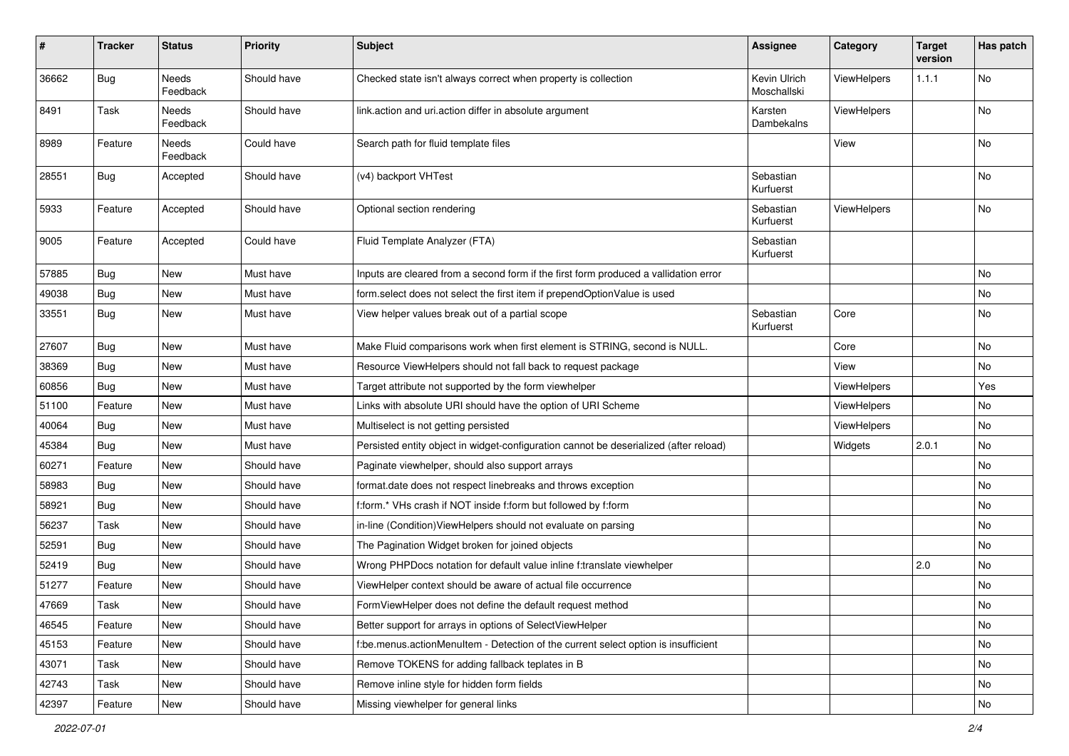| #     | <b>Tracker</b> | <b>Status</b>            | <b>Priority</b> | <b>Subject</b>                                                                        | <b>Assignee</b>             | Category    | <b>Target</b><br>version | Has patch |
|-------|----------------|--------------------------|-----------------|---------------------------------------------------------------------------------------|-----------------------------|-------------|--------------------------|-----------|
| 36662 | Bug            | <b>Needs</b><br>Feedback | Should have     | Checked state isn't always correct when property is collection                        | Kevin Ulrich<br>Moschallski | ViewHelpers | 1.1.1                    | No        |
| 8491  | Task           | Needs<br>Feedback        | Should have     | link.action and uri.action differ in absolute argument                                | Karsten<br>Dambekalns       | ViewHelpers |                          | No        |
| 8989  | Feature        | Needs<br>Feedback        | Could have      | Search path for fluid template files                                                  |                             | View        |                          | No        |
| 28551 | Bug            | Accepted                 | Should have     | (v4) backport VHTest                                                                  | Sebastian<br>Kurfuerst      |             |                          | No        |
| 5933  | Feature        | Accepted                 | Should have     | Optional section rendering                                                            | Sebastian<br>Kurfuerst      | ViewHelpers |                          | No        |
| 9005  | Feature        | Accepted                 | Could have      | Fluid Template Analyzer (FTA)                                                         | Sebastian<br>Kurfuerst      |             |                          |           |
| 57885 | <b>Bug</b>     | New                      | Must have       | Inputs are cleared from a second form if the first form produced a vallidation error  |                             |             |                          | No        |
| 49038 | <b>Bug</b>     | New                      | Must have       | form.select does not select the first item if prependOptionValue is used              |                             |             |                          | No        |
| 33551 | Bug            | New                      | Must have       | View helper values break out of a partial scope                                       | Sebastian<br>Kurfuerst      | Core        |                          | No        |
| 27607 | Bug            | <b>New</b>               | Must have       | Make Fluid comparisons work when first element is STRING, second is NULL.             |                             | Core        |                          | No        |
| 38369 | Bug            | New                      | Must have       | Resource ViewHelpers should not fall back to request package                          |                             | View        |                          | No        |
| 60856 | <b>Bug</b>     | New                      | Must have       | Target attribute not supported by the form viewhelper                                 |                             | ViewHelpers |                          | Yes       |
| 51100 | Feature        | New                      | Must have       | Links with absolute URI should have the option of URI Scheme                          |                             | ViewHelpers |                          | No        |
| 40064 | Bug            | New                      | Must have       | Multiselect is not getting persisted                                                  |                             | ViewHelpers |                          | No        |
| 45384 | Bug            | New                      | Must have       | Persisted entity object in widget-configuration cannot be deserialized (after reload) |                             | Widgets     | 2.0.1                    | No        |
| 60271 | Feature        | New                      | Should have     | Paginate viewhelper, should also support arrays                                       |                             |             |                          | No        |
| 58983 | Bug            | New                      | Should have     | format.date does not respect linebreaks and throws exception                          |                             |             |                          | No        |
| 58921 | Bug            | <b>New</b>               | Should have     | f:form.* VHs crash if NOT inside f:form but followed by f:form                        |                             |             |                          | No        |
| 56237 | Task           | New                      | Should have     | in-line (Condition) View Helpers should not evaluate on parsing                       |                             |             |                          | No        |
| 52591 | Bug            | New                      | Should have     | The Pagination Widget broken for joined objects                                       |                             |             |                          | No        |
| 52419 | Bug            | New                      | Should have     | Wrong PHPDocs notation for default value inline f:translate viewhelper                |                             |             | 2.0                      | <b>No</b> |
| 51277 | Feature        | New                      | Should have     | ViewHelper context should be aware of actual file occurrence                          |                             |             |                          | No        |
| 47669 | Task           | New                      | Should have     | FormViewHelper does not define the default request method                             |                             |             |                          | No        |
| 46545 | Feature        | New                      | Should have     | Better support for arrays in options of SelectViewHelper                              |                             |             |                          | No        |
| 45153 | Feature        | New                      | Should have     | f:be.menus.actionMenuItem - Detection of the current select option is insufficient    |                             |             |                          | No        |
| 43071 | Task           | New                      | Should have     | Remove TOKENS for adding fallback teplates in B                                       |                             |             |                          | No        |
| 42743 | Task           | New                      | Should have     | Remove inline style for hidden form fields                                            |                             |             |                          | No        |
| 42397 | Feature        | New                      | Should have     | Missing viewhelper for general links                                                  |                             |             |                          | No        |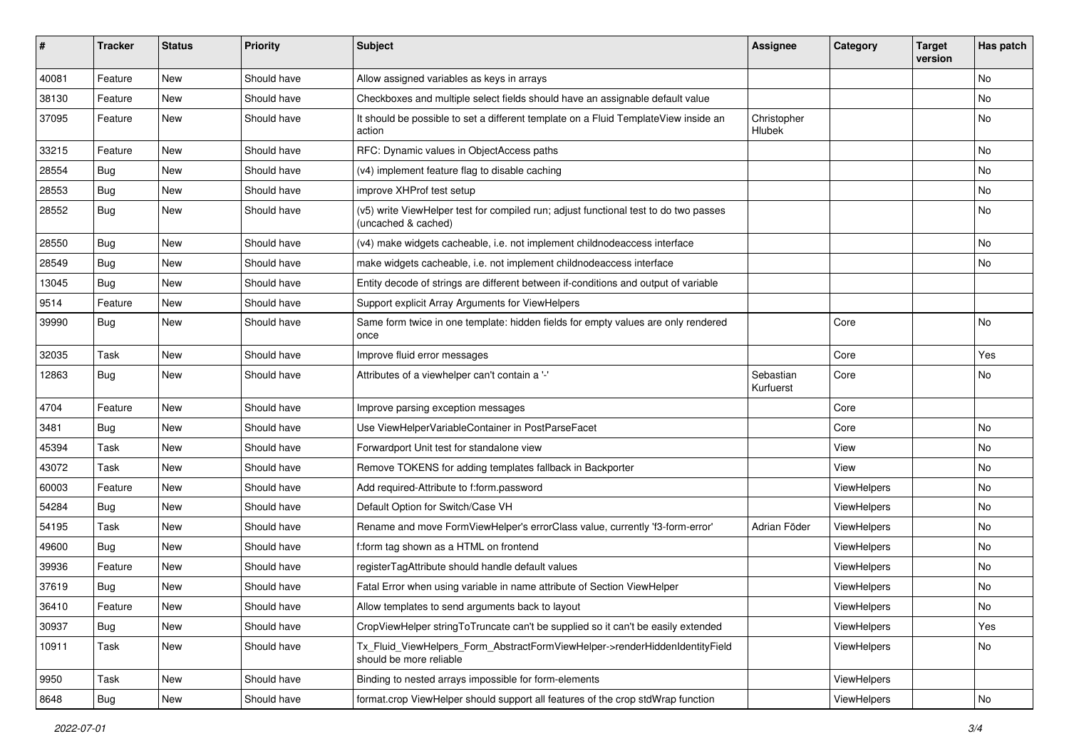| #     | <b>Tracker</b> | <b>Status</b> | <b>Priority</b> | <b>Subject</b>                                                                                              | <b>Assignee</b>        | Category    | <b>Target</b><br>version | Has patch     |
|-------|----------------|---------------|-----------------|-------------------------------------------------------------------------------------------------------------|------------------------|-------------|--------------------------|---------------|
| 40081 | Feature        | New           | Should have     | Allow assigned variables as keys in arrays                                                                  |                        |             |                          | <b>No</b>     |
| 38130 | Feature        | New           | Should have     | Checkboxes and multiple select fields should have an assignable default value                               |                        |             |                          | No            |
| 37095 | Feature        | New           | Should have     | It should be possible to set a different template on a Fluid TemplateView inside an<br>action               | Christopher<br>Hlubek  |             |                          | No            |
| 33215 | Feature        | New           | Should have     | RFC: Dynamic values in ObjectAccess paths                                                                   |                        |             |                          | No            |
| 28554 | Bug            | New           | Should have     | (v4) implement feature flag to disable caching                                                              |                        |             |                          | <b>No</b>     |
| 28553 | Bug            | New           | Should have     | improve XHProf test setup                                                                                   |                        |             |                          | No            |
| 28552 | Bug            | New           | Should have     | (v5) write ViewHelper test for compiled run; adjust functional test to do two passes<br>(uncached & cached) |                        |             |                          | <b>No</b>     |
| 28550 | Bug            | New           | Should have     | (v4) make widgets cacheable, i.e. not implement childnodeaccess interface                                   |                        |             |                          | No            |
| 28549 | Bug            | New           | Should have     | make widgets cacheable, i.e. not implement childnodeaccess interface                                        |                        |             |                          | No            |
| 13045 | Bug            | New           | Should have     | Entity decode of strings are different between if-conditions and output of variable                         |                        |             |                          |               |
| 9514  | Feature        | New           | Should have     | Support explicit Array Arguments for ViewHelpers                                                            |                        |             |                          |               |
| 39990 | Bug            | New           | Should have     | Same form twice in one template: hidden fields for empty values are only rendered<br>once                   |                        | Core        |                          | No            |
| 32035 | Task           | New           | Should have     | Improve fluid error messages                                                                                |                        | Core        |                          | Yes           |
| 12863 | Bug            | New           | Should have     | Attributes of a viewhelper can't contain a '-'                                                              | Sebastian<br>Kurfuerst | Core        |                          | No            |
| 4704  | Feature        | New           | Should have     | Improve parsing exception messages                                                                          |                        | Core        |                          |               |
| 3481  | Bug            | New           | Should have     | Use ViewHelperVariableContainer in PostParseFacet                                                           |                        | Core        |                          | No            |
| 45394 | Task           | New           | Should have     | Forwardport Unit test for standalone view                                                                   |                        | View        |                          | No            |
| 43072 | Task           | New           | Should have     | Remove TOKENS for adding templates fallback in Backporter                                                   |                        | View        |                          | No            |
| 60003 | Feature        | New           | Should have     | Add required-Attribute to f:form.password                                                                   |                        | ViewHelpers |                          | No            |
| 54284 | Bug            | New           | Should have     | Default Option for Switch/Case VH                                                                           |                        | ViewHelpers |                          | No            |
| 54195 | Task           | New           | Should have     | Rename and move FormViewHelper's errorClass value, currently 'f3-form-error'                                | Adrian Föder           | ViewHelpers |                          | No            |
| 49600 | Bug            | New           | Should have     | f:form tag shown as a HTML on frontend                                                                      |                        | ViewHelpers |                          | No            |
| 39936 | Feature        | New           | Should have     | registerTagAttribute should handle default values                                                           |                        | ViewHelpers |                          | <b>No</b>     |
| 37619 | <b>Bug</b>     | New           | Should have     | Fatal Error when using variable in name attribute of Section ViewHelper                                     |                        | ViewHelpers |                          | No            |
| 36410 | Feature        | New           | Should have     | Allow templates to send arguments back to layout                                                            |                        | ViewHelpers |                          | NO.           |
| 30937 | Bug            | New           | Should have     | CropViewHelper stringToTruncate can't be supplied so it can't be easily extended                            |                        | ViewHelpers |                          | Yes           |
| 10911 | Task           | New           | Should have     | Tx_Fluid_ViewHelpers_Form_AbstractFormViewHelper->renderHiddenIdentityField<br>should be more reliable      |                        | ViewHelpers |                          | No            |
| 9950  | Task           | New           | Should have     | Binding to nested arrays impossible for form-elements                                                       |                        | ViewHelpers |                          |               |
| 8648  | Bug            | New           | Should have     | format.crop ViewHelper should support all features of the crop stdWrap function                             |                        | ViewHelpers |                          | $\mathsf{No}$ |